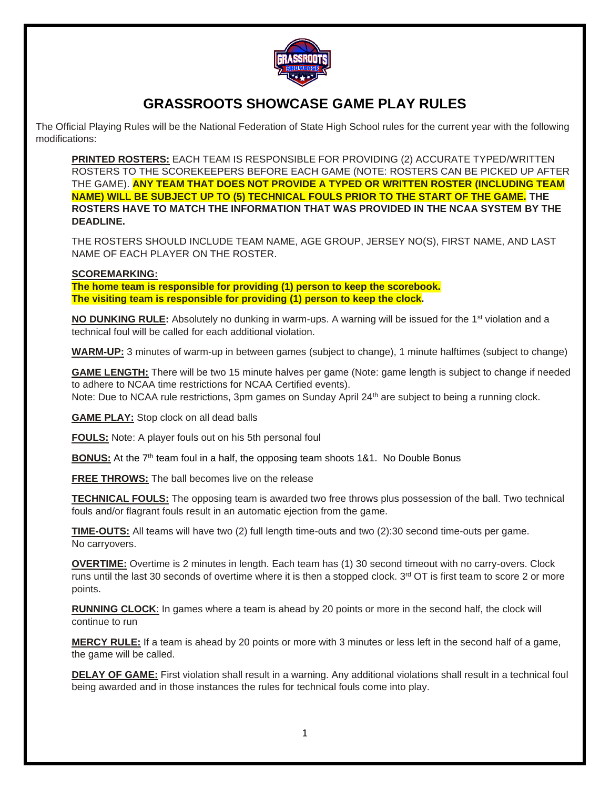

# **GRASSROOTS SHOWCASE GAME PLAY RULES**

The Official Playing Rules will be the National Federation of State High School rules for the current year with the following modifications:

**PRINTED ROSTERS:** EACH TEAM IS RESPONSIBLE FOR PROVIDING (2) ACCURATE TYPED/WRITTEN ROSTERS TO THE SCOREKEEPERS BEFORE EACH GAME (NOTE: ROSTERS CAN BE PICKED UP AFTER THE GAME). **ANY TEAM THAT DOES NOT PROVIDE A TYPED OR WRITTEN ROSTER (INCLUDING TEAM NAME) WILL BE SUBJECT UP TO (5) TECHNICAL FOULS PRIOR TO THE START OF THE GAME. THE ROSTERS HAVE TO MATCH THE INFORMATION THAT WAS PROVIDED IN THE NCAA SYSTEM BY THE DEADLINE.**

THE ROSTERS SHOULD INCLUDE TEAM NAME, AGE GROUP, JERSEY NO(S), FIRST NAME, AND LAST NAME OF EACH PLAYER ON THE ROSTER.

### **SCOREMARKING:**

**The home team is responsible for providing (1) person to keep the scorebook. The visiting team is responsible for providing (1) person to keep the clock.**

**NO DUNKING RULE:** Absolutely no dunking in warm-ups. A warning will be issued for the 1<sup>st</sup> violation and a technical foul will be called for each additional violation.

**WARM-UP:** 3 minutes of warm-up in between games (subject to change), 1 minute halftimes (subject to change)

**GAME LENGTH:** There will be two 15 minute halves per game (Note: game length is subject to change if needed to adhere to NCAA time restrictions for NCAA Certified events). Note: Due to NCAA rule restrictions, 3pm games on Sunday April 24<sup>th</sup> are subject to being a running clock.

**GAME PLAY:** Stop clock on all dead balls

**FOULS:** Note: A player fouls out on his 5th personal foul

**BONUS:** At the 7<sup>th</sup> team foul in a half, the opposing team shoots 1&1. No Double Bonus

**FREE THROWS:** The ball becomes live on the release

**TECHNICAL FOULS:** The opposing team is awarded two free throws plus possession of the ball. Two technical fouls and/or flagrant fouls result in an automatic ejection from the game.

**TIME-OUTS:** All teams will have two (2) full length time-outs and two (2):30 second time-outs per game. No carryovers.

**OVERTIME:** Overtime is 2 minutes in length. Each team has (1) 30 second timeout with no carry-overs. Clock runs until the last 30 seconds of overtime where it is then a stopped clock.  $3<sup>rd</sup> O T$  is first team to score 2 or more points.

**RUNNING CLOCK**: In games where a team is ahead by 20 points or more in the second half, the clock will continue to run

**MERCY RULE:** If a team is ahead by 20 points or more with 3 minutes or less left in the second half of a game, the game will be called.

**DELAY OF GAME:** First violation shall result in a warning. Any additional violations shall result in a technical foul being awarded and in those instances the rules for technical fouls come into play.